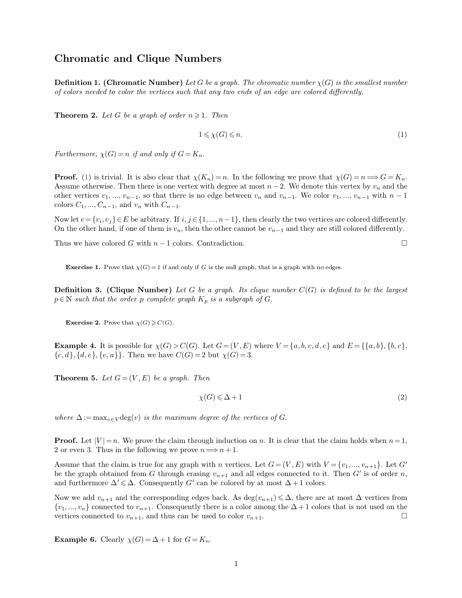## **Chromatic and Clique Numbers**

**Chromatic and Clique Numbers**<br>**Definition 1. (Chromatic Number)** *Let G be a graph. The chromatic number*  $\chi(G)$  *is the smallest number* of colors needed to color the vertices such that any two ends of an edge are c **Chromatic and Clique Numbers**<br>**Definition 1. (Chromatic Number)** Let G be a graph. The chromatic number  $\chi(G)$  is the smalles:<br>of colors needed to color the vertices such that any two ends of an edge are colored differen **Definition 1. (Chromatic Number)** Let *G* be a graph. The of colors needed to color the vertices such that any two ends of **Theorem 2.** Let *G* be a graph of order  $n \ge 1$ . Then

**Theorem 2.** Let G be a graph of order  $n \ge 1$ . Then<br> $1 \le \chi(G) \le$ <br>*Furthermore,*  $\chi(G) = n$  *if and only if*  $G = K_n$ .

<span id="page-0-0"></span>
$$
1 \leqslant \chi(G) \leqslant n. \tag{1}
$$

 $1 \leq \chi(G) \leq n$ . [\(1\)](#page-0-0)<br>
Furthermore,  $\chi(G) = n$  if and only if  $G = K_n$ .<br> **Proof.** (1) is trivial. It is also clear that  $\chi(K_n) = n$ . In the following we prove that  $\chi(G) = n \Longrightarrow G = K_n$ .<br>
Assume otherwise. Then there is one vertex with Furthermore,  $\chi(G) = n$  if and only if  $G = K_n$ .<br> **Proof.** (1) is trivial. It is also clear that  $\chi(K_n) = n$ . In the following we prove that  $\chi(G) = n \Longrightarrow G = K_n$ .<br>
Assume otherwise. Then there is one vertex with degree at most  $n-2$ . **Proof.** (1) is trivial. It is also clear that  $\chi(K_n) = n$ . In the following we prove that  $\chi(G) = n \Longrightarrow G = K_n$ .<br>Assume otherwise. Then there is one vertex with degree at most  $n-2$ . We denote this vertex by  $v_n$  and the other ve Assume otherwise. Then there is one vertex with degree at most  $n-2$ . We denote this vertex by  $v_n$  and the other vertices  $v_1, ..., v_{n-1}$ , so that there is no edge between  $v_n$  and  $v_{n-1}$ . We color  $v_1, ..., v_{n-1}$  with  $n-$ 

colors  $C_1, ..., C_{n-1}$ , and  $v_n$  with  $C_{n-1}$ .<br>colors  $C_1, ..., C_{n-1}$ , and  $v_n$  with  $C_{n-1}$ .<br>Now let  $e = \{v_i, v_j\} \in E$  be arbitrary. If  $i, j \in \{1, ..., n-1\}$ , then clearly the two vertices are colored differently.<br>On the other On the other hand, if one of them is  $v_n$ , then the other cannot be  $v_{n-1}$  and they are still colored differently.<br>Thus we have colored *G* with  $n-1$  colors. Contradiction.<br>**Exercise 1.** Prove that  $\chi(G) = 1$  if and onl

**Exercise 1.** Prove that  $\chi(G) = 1$  if and only if *G* is the null graph, that is a graph with no edges.<br> **Definition 3.** (Clique Number) Let *G* be a graph. Its clique number  $C(G)$  is defined to be the largest<br>  $p \in \mathbb{N$ **Exercise 1.** Prove that  $\chi(G) = 1$  if and only if *G* is the null graph, that is a gr<br>**Definition 3. (Clique Number)** *Let G be a graph. Its clique numb*  $p \in \mathbb{N}$  *such that the order p complete graph*  $K_p$  *is a sub*  $p \in \mathbb{N}$  such that the order p complete graph  $K_p$  is a subgraph of *G*.<br> **Exercise 2.** Prove that  $\chi(G) \geqslant C(G)$ .

**Exercise 2.** Prove that  $\chi(G) \ge C(G)$ .<br> **Example 4.** It is possible for  $\chi(G) > C(G)$ . Let  $G = (V, E)$  where  $V = \{a, b, c, d, e\}$  and  $E = \{\{a, b\}, \{b, c\}, \{c, d\}, \{d, e\}, \{e, a\}\}\$ . Then we have  $C(G) = 2$  but  $\chi(G) = 3$ . **Example 4.** It is possible for  $\chi(G) > C(G)$ . Let  $G = (V, E)$  where  $V = \{a, b, c, d, e\}$  and  $E = \{\{a, b\}, \{b, c\}, \{c, d\}, \{d, e\}, \{e, a\}\}\$ . Then we have  $C(G) = 2$  but  $\chi(G) = 3$ .<br>Theorem 5. Let  $G = (V, E)$  be a graph. Then

$$
2 \text{ but } \chi(G) = 3.
$$
\n
$$
2 \text{ but } \chi(G) \le \Delta + 1
$$
\n
$$
2 \text{ but } \chi(G) \le \Delta + 1
$$
\n
$$
(2)
$$

*where*  $\Delta := \max_{v \in V} \deg(v)$  *is the maximum degree of the vertices of G.* 

 $\chi(G) \leq \Delta + 1$  (2)<br>
where  $\Delta := \max_{v \in V} \deg(v)$  is the maximum degree of the vertices of G.<br> **Proof.** Let  $|V| = n$ . We prove the claim through induction on n. It is clear that the claim holds when  $n = 1$ ,<br>
2 or even 3. Thus in Assume that the claim is true for any graph with *n* vertices. Let  $G = (V, E)$  with  $V = \{v_1, ..., v_{n+1}\}$ . Let  $G'$  be the graph obtained from  $G$  through erasing  $v_{n+1}$  and all edges connected to it. Then  $G'$  is of order

Assume that the claim is true for any graph with *n* vertices. Let  $G = (V, E)$  with  $V = \{v_1, ..., v_{n+1}\}$ . Let  $G'$  be the graph obtained from  $G$  through erasing  $v_{n+1}$  and all edges connected to it. Then  $G'$  is of order be the graph obtained from *G* through erasing  $v_{n+1}$  and all edges connected to it. Then *G'* is of order *n*,<br>and furthermore  $\Delta' \leq \Delta$ . Consequently *G'* can be colored by at most  $\Delta + 1$  colors.<br>Now we add  $v_{n+1}$ Now we add  $v_{n+1}$  and the corresponding edges back. As  $\{v_1, ..., v_n\}$  connected to  $v_{n+1}$ . Consequently there is a covertices connected to  $v_{n+1}$ , and thus can be used to colo **Example 6.** Clearly  $\chi(G) = \Delta + 1$  for  $G$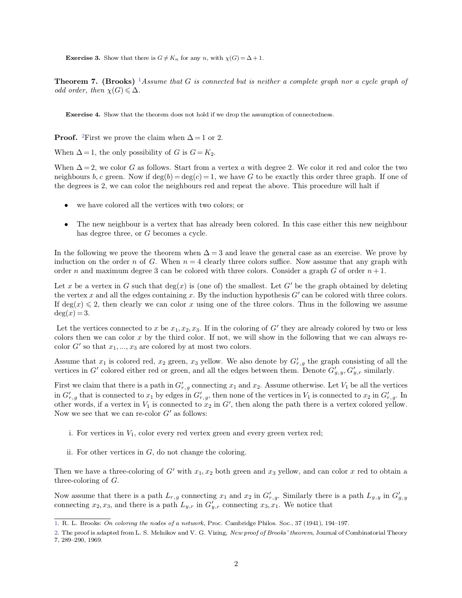<span id="page-1-2"></span><span id="page-1-0"></span>**Exercise 3.** Show that there is  $G \neq K_n$  for any *n*, with  $\chi(G) = \Delta + 1$ .

**Theorem 7. (Brooks)** here is  $G \neq K_n$  for any *n*, with  $\chi(G) = \Delta + 1$ .<br><sup>1</sup>Assume that *G* is connected but is neither a complete graph nor a cycle graph of **Exercise 3.** Show that there is  $G \neq K$ <br>**Theorem 7. (Brooks)** <sup>1</sup>*Assume tional order, then*  $\chi(G) \leq \Delta$ . odd order, then  $\chi(G) \leq \Delta$ .<br> **Exercise 4.** Show that the theorem does not hold if we drop the assumption of connectedness.

<span id="page-1-1"></span>

**Exercise 4.** Show that the theorem does not hold if we drop the assumption of connectedness.<br> **Proof.** <sup>2</sup>First we prove the claim when  $\Delta = 1$  or 2.<br>
When  $\Delta = 1$ , the only possibility of *G* is  $G = K_2$ .<br>
When  $\Delta = 2$ , **Proof.** <sup>2</sup>First we prove the claim when  $\Delta = 1$  or 2.<br>When  $\Delta = 1$ , the only possibility of *G* is  $G = K_2$ .<br>When  $\Delta = 2$ , we color *G* as follows. Start from a vertex *a* with degree 2. We color it red and color the two The degrees is 2, we color G as follows. Start from a vertex a with degree 2. We color it red and color the two neighbours b, c green. Now if deg(b) = deg(c) = 1, we have G to be exactly this order three graph. If one of Next all  $\Delta = 2$ , we color G as follows. Start from a vertex a with d ghbours b, c green. Now if  $\deg(b) = \deg(c) = 1$ , we have G to b degrees is 2, we can color the neighbours red and repeat the we have colored all the vertices neighbours *b*, *c* green. Now if  $deg(b) = deg(c) = 1$ , we have *G* to be exactly this order three graph. If one of the degrees is 2, we can color the neighbours red and repeat the above. This procedure will halt if<br>
• we have co

- 
- The new neighbour is a vertex that has already been colored. In this case either this new neighbour has degree three, or *G* becomes a cycle.<br>In the following we prove the theorem when  $\Delta = 3$  and leave the general case

The new neighbour is a vertex that has already been colored. In this case either this new neighbour<br>has degree three, or *G* becomes a cycle.<br>In the following we prove the theorem when  $\Delta = 3$  and leave the general case a • The new neighbour is a vertex that has already been colored. In this case either this new neighbour<br>has degree three, or *G* becomes a cycle.<br>In the following we prove the theorem when  $\Delta = 3$  and leave the general case In the following we prove the theorem when  $\Delta = 3$  and leave the general case as an exercise. We prove by induction on the order *n* of *G*. When  $n = 4$  clearly three colors suffice. Now assume that any graph with order

In the following we prove the theorem when  $\Delta = 3$  and leave the general case as an exercise. We prove by induction on the order *n* of *G*. When  $n = 4$  clearly three colors suffice. Now assume that any graph with order induction on the order *n* of *G*. When  $n = 4$  clearly three colors suffice. Now assume that any graph with order *n* and maximum degree 3 can be colored with three colors. Consider a graph *G* of order  $n + 1$ .<br>Let *x* be order *n* and maximum degree 3 can be colored with three colors. Consider a graph *G* of order  $n + 1$ .<br>Let *x* be a vertex in *G* such that deg(*x*) is (one of) the smallest. Let *G'* be the graph obtained by deleting the the vertex *x* and all the edges containing *x*. By the induction hypothesis  $G'$  can be colored with three colors.<br>If  $\deg(x) \le 2$ , then clearly we can color *x* using one of the three colors. Thus in the following we assu

Let the vertices connected to *x* be  $x_1, x_2, x_3$ . If in the coloring of  $G'$  they are already colored by two or less colors then we can color *x* by the third color. If not, we will show in the following that we can alw Let the vertices connected to *x* be  $x_1, x_2, x_3$ . If in the coloring of *G'* they are already colored by two colors then we can color *x* by the third color. If not, we will show in the following that we can alw color

Assume that  $x_1$  is colored red,  $x_2$  green,  $x_3$  yellow. We also denote by  $G'_{r,q}$  the graph consisting of all the  $\gamma_{y,r}$  similarly.

First we claim that there is a path in  $G'_r$ ,  $g$  connecting  $x_1$  and  $x_2$ . Assume otherwise. Let  $V_1$  be all the vertices in  $G'$  colored either red or green, and all the edges between them. Denote  $G'_{g,y}, G'_{y,r}$  simi  $\inf G'_{r,g}$  that is Inneed that  $x_1$ ,  $x_2$  are consisting  $x_3$  we most one consist.<br>  $0$  that  $x_1$  is colored either red or green, and all the edges between them. Denote  $G'_{g,y}, G'_{y,r}$  similarly.<br>  $0$  is we claim that there is a path in all the<br>ly.<br>ertices<br> $'_{r,g}$ . In<br>yellow. Assume that  $x_1$  is colored red,  $x_2$  green,  $x_3$  yellow. We also denote by  $G'_{r,g}$  the graph consisting of all the vertices in  $G'$  colored either red or green, and all the edges between them. Denote  $G'_{g,y}, G'_{y,r}$  s First we claim that there is a path in  $G'_{r,g}$  connecting  $x_1$  and  $x_2$ . Assume otherwise. Let  $V_1$  be all the vertices in  $G'_{r,g}$  that is connected to  $x_1$  by edges in  $G'_{r,g}$ , then none of the vertices in  $V_1$  i  $i^k$ , we claim that there is a path in  $Gr_{r,g}$  connecting  $x_1$  and  $x_2$ . Assume otherwise. Let  $i^k$ ,  $g$  that is connected to  $x_1$  by edges in  $G'_{r,g}$ , then none of the vertices in  $V_1$  is connect r words, if a ver

- i. For vertices in  $V_1$ , color every red vertex green and every green vertex red;<br>ii. For other vertices in  $G$ , do not change the coloring.
- 

i. For vertices in  $V_1$ , color every red vertex green and every green vertex red;<br>ii. For other vertices in  $G$ , do not change the coloring.<br>Then we have a three-coloring of  $G'$  with  $x_1, x_2$  both green and  $x_3$  yello i. For vertices in  $V_1$ , color every red vertex green and *xv*<sub>*s*</sub> green vertex red,<br>
ii. For other vertices in *G*, do not change the coloring.<br>
Then we have a three-coloring of *G*<sup>*'*</sup> with  $x_1, x_2$  both green and Then we have a three-coloring of *G'* with  $x_1, x_2$  both green and  $x_3$  yellow, and can color *x* three-coloring of *G*.<br>Now assume that there is a path  $L_{r,g}$  connecting  $x_1$  and  $x_2$  in  $G'_{r,g}$ . Similarly there is

Now assume that there is a path  $L_{r,g}$  connecting  $x_1$  and  $x_2$  in  $G'_{r,g}$ . Similarly there is a path  $L_{g,y}$  in  $G'_{g,y}$ <br>connecting  $x_2, x_3$ , and there is a path  $L_{y,r}$  in  $G'_{y,r}$  connecting  $x_3, x_1$ . We notice t

<sup>1.</sup> R. L. Brooks: On coloring the nodes of a network, Proc. Cambridge Philos. Soc., 37 (1941), 194-197.

connecting  $x_2, x_3$ , and there is a path  $L_{y,r}$  in  $G'_{y,r}$  connecting  $x_3, x_1$ . We notice that<br>
1. R. L. Brooks: On coloring the nodes of a network, Proc. Cambridge Philos. Soc., 37 (1941), 194–197.<br>
2. The proof is a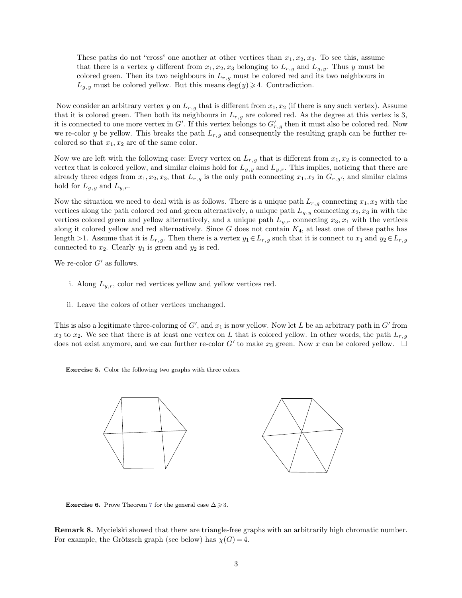These paths do not "cross" one another at other vertices than  $x_1, x_2, x_3$ . To see this, assume<br>that there is a vertex y different from  $x_1, x_2, x_3$  belonging to  $L_{r,g}$  and  $L_{g,y}$ . Thus y must be<br>colored group. Then i These paths do not "cross" one another at other vertices than  $x_1, x_2, x_3$ . To see this, assume<br>that there is a vertex *y* different from  $x_1, x_2, x_3$  belonging to  $L_{r,g}$  and  $L_{g,y}$ . Thus *y* must be<br>colored green. Th These paths do not "cross" one another at other vertices than  $x_1, x_2, x_3$ . To see this, assume that there is a vertex y different from  $x_1, x_2, x_3$  belonging to  $L_{r,g}$  and  $L_{g,y}$ . Thus y must be colored green. Then i These paths do not "cross" one another at other vertices than  $x_1, x_2, x_3$ . To that there is a vertex  $y$  different from  $x_1, x_2, x_3$  belonging to  $L_{r,g}$  and  $L_{g,y}$ . colored green. Then its two neighbours in  $L_{r,g}$  m These plants as not cross one different *x* on *x*<sub>1</sub>*x*<sub>2</sub>*x*<sub>3</sub>*x*<sub>3</sub> belonging to  $L_{r,g}$  and  $L_{g,y}$ . Thus *y* must be colored green. Then its two neighbours in  $L_{r,g}$  must be colored red and its two neighbours in  $L$ 

that it is colored green. Then its two neighbours in  $L_{r,g}$  must be colored red and its two neighbours in  $L_{g,y}$  must be colored yellow. But this means  $\deg(y) \ge 4$ . Contradiction.<br>Now consider an arbitrary vertex y on  $L$  $L_{g,y}$  must be colored yellow. But this means  $\deg(y) \ge 4$ . Contradiction<br>Now consider an arbitrary vertex y on  $L_{r,g}$  that is different from  $x_1, x_2$  (if the that it is colored green. Then both its neighbours in  $L_{r,g}$ *n* then it must also be colored red.<br> *n*, *x*<sub>2</sub> (if there is any such vertex). Assume<br>
ed red. As the degree at this vertex is 3,<br> *r*<sub>*r*, *g*</sub> then it must also be colored red. Now<br>
ily the resulting graph can be furt Now consider an arbitrary vertex y on  $L_{r,g}$  that is different from  $x_1, x_2$  (if there is any such vertex). Assume that it is colored green. Then both its neighbours in  $L_{r,g}$  are colored red. As the degree at this ver Now consider an arbitrary vertex y on  $L_{r,g}$  that<br>that it is colored green. Then both its neighbou<br>it is connected to one more vertex in  $G'$ . If this y<br>we re-color y be yellow. This breaks the path L<br>colored so that  $x_$ that it is colored green. Then both its neighbours in  $L_{r,g}$  are colored red. As the degree at this vertex is 3,<br>it is connected to one more vertex in *G'*. If this vertex belongs to  $G'_{r,g}$  then it must also be colored

it is connected to one more vertex in  $G'$ . If this vertex belongs to  $G'_{r,g}$  then it must also be colored red. Now<br>we re-color *y* be yellow. This breaks the path  $L_{r,g}$  and consequently the resulting graph can be furt we re-color *y* be yellow. This breaks the path  $L_{r,g}$  and consequently the resulting graph can be further re-<br>colored so that  $x_1, x_2$  are of the same color.<br>Now we are left with the following case: Every vertex on  $L_{$ colored so that  $x_1, x_2$  are of the same color.<br>
Now we are left with the following case: Every vertex on  $L_{r,g}$  that is different from  $x_1, x_2$  is connected to a<br>
vertex that is colored yellow, and similar claims hold vertex that is colored yellow, and similar claims hold for  $L_{g,y}$  and  $L_{y,r}$ . This implies, noticing that there are already three edges from  $x_1, x_2, x_3$ , that  $L_{r,g}$  is the only path connecting  $x_1, x_2$  in  $G_{r,g'}$ ,

already three edges from  $x_1, x_2, x_3$ , that  $L_{r,g}$  is the only path connecting  $x_1, x_2$  in  $G_{r,g'}$ , and similar claims<br>hold for  $L_{g,y}$  and  $L_{y,r}$ .<br>Now the situation we need to deal with is as follows. There is a uniq hold for  $L_{g,y}$  and  $L_{y,r}$ .<br>Now the situation we need to deal with is as follows. There is a unique path  $L_{r,g}$  connecting  $x_1, x_2$  with the<br>vertices along the path colored red and green alternatively, a unique path Now the situation we need to deal with is as follows. There is a unique path  $L_{r,g}$  connecting  $x_1, x_2$  with the vertices along the path colored red and green alternatively, a unique path  $L_{g,y}$  connecting  $x_2, x_3$  in Now the situation we need to deal with is as follows. In<br>vertices along the path colored red and green alternative<br>vertices colored green and yellow alternatively, and a u<br>along it colored yellow and red alternatively. Si vertices colored green and yell<br>along it colored yellow and realisting the set of  $L$ <br>along the *S*<sup>2</sup>. Clearly  $y_1$  is<br>We re-color  $G'$  as follows. i. Along *L*<sub>*y*</sub>, Clearly *y*<sub>1</sub> is green and *y*<sub>2</sub> is red.<br>i.e-color *G'* as follows.<br>i. Along *L*<sub>*y*</sub>, $r$ , color red vertices yellow and yellow vertices red.

- re-color $G'$  as follows.<br>  $\hfill \text{i. Along } L_{y,r}, \text{ color red vertices yellow and yellow v}$   $\hfill \text{ii. Leave the colors of other vertices unchanged.}$
- 

i. Along  $L_{y,r}$ , color red vertices yellow and yellow vertices red.<br>ii. Leave the colors of other vertices unchanged.<br>This is also a legitimate three-coloring of *G'*, and  $x_1$  is now yellow. Now let *L* be an arbitrary ii. Leave the colors of other vertices unchanged.<br>This is also a legitimate three-coloring of  $G'$ , and  $x_1$  is now yellow. Now let *L* be an arbitrary path in  $G'$  from  $x_3$  to  $x_2$ . We see that there is at least one ii. Leave the colors of other vertices unchanged.<br>This is also a legitimate three-coloring of  $G'$ , and  $x_1$  is now yellow. Now let  $L$  be an arbitrary path in  $G'$  from  $x_3$  to  $x_2$ . We see that there is at least one  $x_3$  to  $x_2$ . We see that there is at least one vertex on L that is colored yellow. In other words, the path  $L_{r,g}$  does not exist anymore, and we can further re-color G' to make  $x_3$  green. Now x can be colored yello



**Exercise 6.** Prove Theorem 7 for the general case  $\Delta \geq 3$ .

**Exercise6.** Prove Theorem 7 for the general case  $\Delta \ge 3$ .<br>**Remark 8.** Mycielski showed that there are triangle-free graphs with an arbitrarily high chromatic number.<br>For example, the Grötzsch graph (see below) has  $\chi(G$ **Exercise 6.** Prove Theorem 7 for the general case  $\Delta \ge 3$ .<br> **Remark 8.** Mycielski showed that there are triangle-free graphs with<br>
For example, the Grötzsch graph (see below) has  $\chi(G) = 4$ .